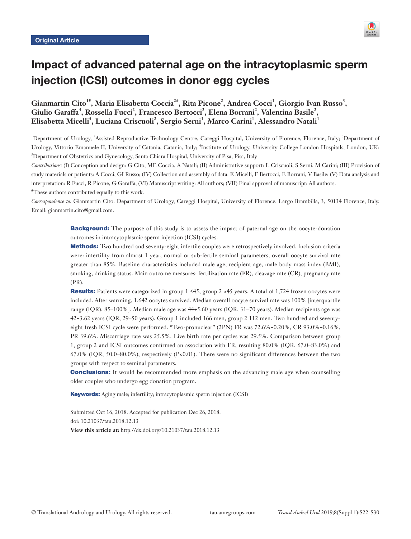

# Impact of advanced paternal age on the intracytoplasmic sperm injection (ICSI) outcomes in donor egg cycles

# Gianmartin Cito<sup>1#</sup>, Maria Elisabetta Coccia<sup>2#</sup>, Rita Picone<sup>2</sup>, Andrea Cocci<sup>1</sup>, Giorgio Ivan Russo<sup>3</sup>, Giulio Garaffa<sup>4</sup>, Rossella Fucci<sup>2</sup>, Francesco Bertocci<sup>2</sup>, Elena Borrani<sup>2</sup>, Valentina Basile<sup>2</sup>,  $\boldsymbol{\mathrm{E}}$ lisabetta Micelli<sup>5</sup>, Luciana Criscuoli<sup>2</sup>, Sergio Serni<sup>1</sup>, Marco Carini<sup>1</sup>, Alessandro Natali<sup>1</sup>

<sup>1</sup>Department of Urology, <sup>2</sup>Assisted Reproductive Technology Centre, Careggi Hospital, University of Florence, Florence, Italy; <sup>3</sup>Department of Urology, Vittorio Emanuele II, University of Catania, Catania, Italy; <sup>4</sup>Institute of Urology, University College London Hospitals, London, UK; 5 Department of Obstetrics and Gynecology, Santa Chiara Hospital, University of Pisa, Pisa, Italy

*Contributions:* (I) Conception and design: G Cito, ME Coccia, A Natali; (II) Administrative support: L Criscuoli, S Serni, M Carini; (III) Provision of study materials or patients: A Cocci, GI Russo; (IV) Collection and assembly of data: E Micelli, F Bertocci, E Borrani, V Basile; (V) Data analysis and interpretation: R Fucci, R Picone, G Garaffa; (VI) Manuscript writing: All authors; (VII) Final approval of manuscript: All authors.

# These authors contributed equally to this work.

*Correspondence to:* Gianmartin Cito. Department of Urology, Careggi Hospital, University of Florence, Largo Brambilla, 3, 50134 Florence, Italy. Email: gianmartin.cito@gmail.com.

> **Background:** The purpose of this study is to assess the impact of paternal age on the oocyte-donation outcomes in intracytoplasmic sperm injection (ICSI) cycles.

> Methods: Two hundred and seventy-eight infertile couples were retrospectively involved. Inclusion criteria were: infertility from almost 1 year, normal or sub-fertile seminal parameters, overall oocyte survival rate greater than 85%. Baseline characteristics included male age, recipient age, male body mass index (BMI), smoking, drinking status. Main outcome measures: fertilization rate (FR), cleavage rate (CR), pregnancy rate (PR).

> Results: Patients were categorized in group 1 ≤45, group 2 >45 years. A total of 1,724 frozen oocytes were included. After warming, 1,642 oocytes survived. Median overall oocyte survival rate was 100% [interquartile range (IQR), 85–100%]. Median male age was 44±5.60 years (IQR, 31–70 years). Median recipients age was 42±3.62 years (IQR, 29–50 years). Group 1 included 166 men, group 2 112 men. Two hundred and seventyeight fresh ICSI cycle were performed. "Two-pronuclear" (2PN) FR was 72.6%±0.20%, CR 93.0%±0.16%, PR 39.6%. Miscarriage rate was 25.5%. Live birth rate per cycles was 29.5%. Comparison between group 1, group 2 and ICSI outcomes confirmed an association with FR, resulting 80.0% (IQR, 67.0–83.0%) and 67.0% (IQR, 50.0–80.0%), respectively (P<0.01). There were no significant differences between the two groups with respect to seminal parameters.

> **Conclusions:** It would be recommended more emphasis on the advancing male age when counselling older couples who undergo egg donation program.

Keywords: Aging male; infertility; intracytoplasmic sperm injection (ICSI)

Submitted Oct 16, 2018. Accepted for publication Dec 26, 2018. doi: 10.21037/tau.2018.12.13 **View this article at:** http://dx.doi.org/10.21037/tau.2018.12.13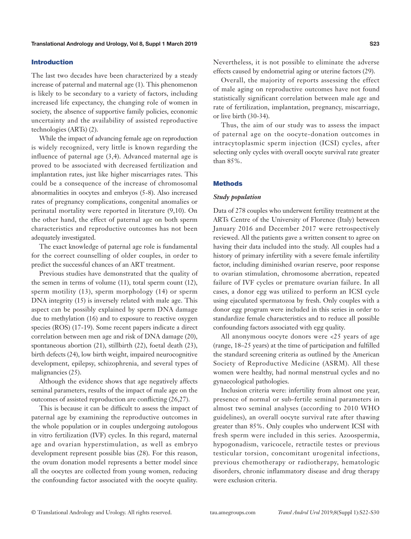### Introduction

The last two decades have been characterized by a steady increase of paternal and maternal age (1). This phenomenon is likely to be secondary to a variety of factors, including increased life expectancy, the changing role of women in society, the absence of supportive family policies, economic uncertainty and the availability of assisted reproductive technologies (ARTs) (2).

While the impact of advancing female age on reproduction is widely recognized, very little is known regarding the influence of paternal age (3,4). Advanced maternal age is proved to be associated with decreased fertilization and implantation rates, just like higher miscarriages rates. This could be a consequence of the increase of chromosomal abnormalities in oocytes and embryos (5-8). Also increased rates of pregnancy complications, congenital anomalies or perinatal mortality were reported in literature (9,10). On the other hand, the effect of paternal age on both sperm characteristics and reproductive outcomes has not been adequately investigated.

The exact knowledge of paternal age role is fundamental for the correct counselling of older couples, in order to predict the successful chances of an ART treatment.

Previous studies have demonstrated that the quality of the semen in terms of volume (11), total sperm count (12), sperm motility (13), sperm morphology (14) or sperm DNA integrity (15) is inversely related with male age. This aspect can be possibly explained by sperm DNA damage due to methylation (16) and to exposure to reactive oxygen species (ROS) (17-19). Some recent papers indicate a direct correlation between men age and risk of DNA damage (20), spontaneous abortion (21), stillbirth (22), foetal death (23), birth defects (24), low birth weight, impaired neurocognitive development, epilepsy, schizophrenia, and several types of malignancies (25).

Although the evidence shows that age negatively affects seminal parameters, results of the impact of male age on the outcomes of assisted reproduction are conflicting (26,27).

This is because it can be difficult to assess the impact of paternal age by examining the reproductive outcomes in the whole population or in couples undergoing autologous in vitro fertilization (IVF) cycles. In this regard, maternal age and ovarian hyperstimulation, as well as embryo development represent possible bias (28). For this reason, the ovum donation model represents a better model since all the oocytes are collected from young women, reducing the confounding factor associated with the oocyte quality. Nevertheless, it is not possible to eliminate the adverse effects caused by endometrial aging or uterine factors (29).

Overall, the majority of reports assessing the effect of male aging on reproductive outcomes have not found statistically significant correlation between male age and rate of fertilization, implantation, pregnancy, miscarriage, or live birth (30-34).

Thus, the aim of our study was to assess the impact of paternal age on the oocyte-donation outcomes in intracytoplasmic sperm injection (ICSI) cycles, after selecting only cycles with overall oocyte survival rate greater than 85%.

## **Methods**

#### *Study population*

Data of 278 couples who underwent fertility treatment at the ARTs Centre of the University of Florence (Italy) between January 2016 and December 2017 were retrospectively reviewed. All the patients gave a written consent to agree on having their data included into the study. All couples had a history of primary infertility with a severe female infertility factor, including diminished ovarian reserve, poor response to ovarian stimulation, chromosome aberration, repeated failure of IVF cycles or premature ovarian failure. In all cases, a donor egg was utilized to perform an ICSI cycle using ejaculated spermatozoa by fresh. Only couples with a donor egg program were included in this series in order to standardize female characteristics and to reduce all possible confounding factors associated with egg quality.

All anonymous oocyte donors were <25 years of age (range, 18–25 years) at the time of participation and fulfilled the standard screening criteria as outlined by the American Society of Reproductive Medicine (ASRM). All these women were healthy, had normal menstrual cycles and no gynaecological pathologies.

Inclusion criteria were: infertility from almost one year, presence of normal or sub-fertile seminal parameters in almost two seminal analyses (according to 2010 WHO guidelines), an overall oocyte survival rate after thawing greater than 85%. Only couples who underwent ICSI with fresh sperm were included in this series. Azoospermia, hypogonadism, varicocele, retractile testes or previous testicular torsion, concomitant urogenital infections, previous chemotherapy or radiotherapy, hematologic disorders, chronic inflammatory disease and drug therapy were exclusion criteria.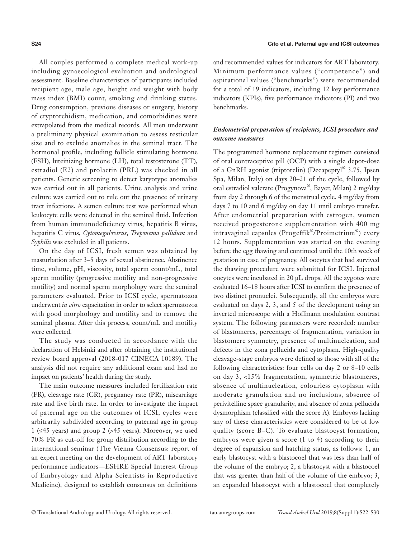All couples performed a complete medical work-up including gynaecological evaluation and andrological assessment. Baseline characteristics of participants included recipient age, male age, height and weight with body mass index (BMI) count, smoking and drinking status. Drug consumption, previous diseases or surgery, history of cryptorchidism, medication, and comorbidities were extrapolated from the medical records. All men underwent a preliminary physical examination to assess testicular size and to exclude anomalies in the seminal tract. The hormonal profile, including follicle stimulating hormone (FSH), luteinizing hormone (LH), total testosterone (TT), estradiol (E2) and prolactin (PRL) was checked in all patients. Genetic screening to detect karyotype anomalies was carried out in all patients. Urine analysis and urine culture was carried out to rule out the presence of urinary tract infections. A semen culture test was performed when leukocyte cells were detected in the seminal fluid. Infection from human immunodeficiency virus, hepatitis B virus, hepatitis C virus, *Cytomegalovirus*, *Treponema pallidum* and *Syphilis* was excluded in all patients.

On the day of ICSI, fresh semen was obtained by masturbation after 3–5 days of sexual abstinence. Abstinence time, volume, pH, viscosity, total sperm count/mL, total sperm motility (progressive motility and non-progressive motility) and normal sperm morphology were the seminal parameters evaluated. Prior to ICSI cycle, spermatozoa underwent *in vitro* capacitation in order to select spermatozoa with good morphology and motility and to remove the seminal plasma. After this process, count/mL and motility were collected.

The study was conducted in accordance with the declaration of Helsinki and after obtaining the institutional review board approval (2018-017 CINECA 10189). The analysis did not require any additional exam and had no impact on patients' health during the study.

The main outcome measures included fertilization rate (FR), cleavage rate (CR), pregnancy rate (PR), miscarriage rate and live birth rate. In order to investigate the impact of paternal age on the outcomes of ICSI, cycles were arbitrarily subdivided according to paternal age in group 1 (≤45 years) and group 2 (>45 years). Moreover, we used 70% FR as cut-off for group distribution according to the international seminar (The Vienna Consensus: report of an expert meeting on the development of ART laboratory performance indicators—ESHRE Special Interest Group of Embryology and Alpha Scientists in Reproductive Medicine), designed to establish consensus on definitions and recommended values for indicators for ART laboratory. Minimum performance values ("competence") and aspirational values ("benchmarks") were recommended for a total of 19 indicators, including 12 key performance indicators (KPIs), five performance indicators (PI) and two benchmarks.

# *Endometrial preparation of recipients, ICSI procedure and outcome measures*

The programmed hormone replacement regimen consisted of oral contraceptive pill (OCP) with a single depot-dose of a GnRH agonist (triptorelin) (Decapeptyl® 3.75, Ipsen Spa, Milan, Italy) on days 20–21 of the cycle, followed by oral estradiol valerate (Progynova®, Bayer, Milan) 2 mg/day from day 2 through 6 of the menstrual cycle, 4 mg/day from days 7 to 10 and 6 mg/day on day 11 until embryo transfer. After endometrial preparation with estrogen, women received progesterone supplementation with 400 mg intravaginal capsules (Progeffik®/Proimetrium®) every 12 hours. Supplementation was started on the evening before the egg thawing and continued until the 10th week of gestation in case of pregnancy. All oocytes that had survived the thawing procedure were submitted for ICSI. Injected oocytes were incubated in 20 µL drops. All the zygotes were evaluated 16–18 hours after ICSI to confirm the presence of two distinct pronuclei. Subsequently, all the embryos were evaluated on days 2, 3, and 5 of the development using an inverted microscope with a Hoffmann modulation contrast system. The following parameters were recorded: number of blastomeres, percentage of fragmentation, variation in blastomere symmetry, presence of multinucleation, and defects in the zona pellucida and cytoplasm. High-quality cleavage-stage embryos were defined as those with all of the following characteristics: four cells on day 2 or 8–10 cells on day 3, <15% fragmentation, symmetric blastomeres, absence of multinucleation, colourless cytoplasm with moderate granulation and no inclusions, absence of perivitelline space granularity, and absence of zona pellucida dysmorphism (classified with the score A). Embryos lacking any of these characteristics were considered to be of low quality (score B–C). To evaluate blastocyst formation, embryos were given a score (1 to 4) according to their degree of expansion and hatching status, as follows: 1, an early blastocyst with a blastocoel that was less than half of the volume of the embryo; 2, a blastocyst with a blastocoel that was greater than half of the volume of the embryo; 3, an expanded blastocyst with a blastocoel that completely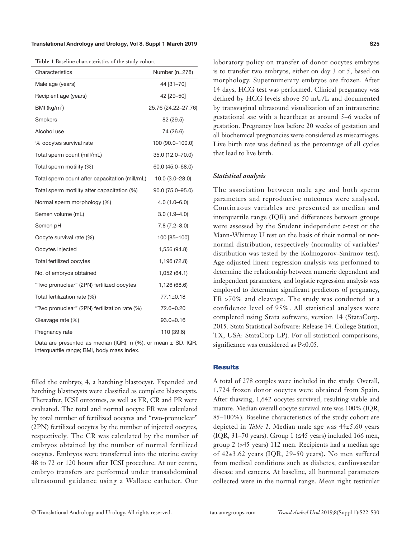#### Translational Andrology and Urology, Vol 8, Suppl 1 March 2019

**Table 1** Baseline characteristics of the study cohort

| Characteristics                                | Number (n=278)      |
|------------------------------------------------|---------------------|
| Male age (years)                               | 44 [31-70]          |
| Recipient age (years)                          | 42 [29-50]          |
| BMI ( $kg/m2$ )                                | 25.76 (24.22-27.76) |
| <b>Smokers</b>                                 | 82 (29.5)           |
| Alcohol use                                    | 74 (26.6)           |
| % oocytes survival rate                        | 100 (90.0-100.0)    |
| Total sperm count (mill/mL)                    | 35.0 (12.0-70.0)    |
| Total sperm motility (%)                       | $60.0(45.0 - 68.0)$ |
| Total sperm count after capacitation (mill/mL) | $10.0(3.0 - 28.0)$  |
| Total sperm motility after capacitation (%)    | 90.0 (75.0-95.0)    |
| Normal sperm morphology (%)                    | $4.0(1.0 - 6.0)$    |
| Semen volume (mL)                              | $3.0(1.9 - 4.0)$    |
| Semen pH                                       | $7.8(7.2 - 8.0)$    |
| Oocyte survival rate (%)                       | 100 [85-100]        |
| Oocytes injected                               | 1,556 (94.8)        |
| Total fertilized oocytes                       | 1,196 (72.8)        |
| No. of embryos obtained                        | 1,052 (64.1)        |
| "Two pronuclear" (2PN) fertilized oocytes      | 1,126 (68.6)        |
| Total fertilization rate (%)                   | $77.1 \pm 0.18$     |
| "Two pronuclear" (2PN) fertilization rate (%)  | 72.6±0.20           |
| Cleavage rate (%)                              | $93.0 + 0.16$       |
| Pregnancy rate                                 | 110 (39.6)          |

Data are presented as median (IQR), n (%), or mean  $\pm$  SD. IQR, interquartile range; BMI, body mass index.

filled the embryo; 4, a hatching blastocyst. Expanded and hatching blastocysts were classified as complete blastocysts. Thereafter, ICSI outcomes, as well as FR, CR and PR were evaluated. The total and normal oocyte FR was calculated by total number of fertilized oocytes and "two-pronuclear" (2PN) fertilized oocytes by the number of injected oocytes, respectively. The CR was calculated by the number of embryos obtained by the number of normal fertilized oocytes. Embryos were transferred into the uterine cavity 48 to 72 or 120 hours after ICSI procedure. At our centre, embryo transfers are performed under transabdominal ultrasound guidance using a Wallace catheter. Our laboratory policy on transfer of donor oocytes embryos is to transfer two embryos, either on day 3 or 5, based on morphology. Supernumerary embryos are frozen. After 14 days, HCG test was performed. Clinical pregnancy was defined by HCG levels above 50 mU/L and documented by transvaginal ultrasound visualization of an intrauterine gestational sac with a heartbeat at around 5–6 weeks of gestation. Pregnancy loss before 20 weeks of gestation and all biochemical pregnancies were considered as miscarriages. Live birth rate was defined as the percentage of all cycles that lead to live birth.

#### *Statistical analysis*

The association between male age and both sperm parameters and reproductive outcomes were analysed. Continuous variables are presented as median and interquartile range (IQR) and differences between groups were assessed by the Student independent *t*-test or the Mann-Whitney U test on the basis of their normal or notnormal distribution, respectively (normality of variables' distribution was tested by the Kolmogorov-Smirnov test). Age-adjusted linear regression analysis was performed to determine the relationship between numeric dependent and independent parameters, and logistic regression analysis was employed to determine significant predictors of pregnancy, FR >70% and cleavage. The study was conducted at a confidence level of 95%. All statistical analyses were completed using Stata software, version 14 (StataCorp. 2015. Stata Statistical Software: Release 14. College Station, TX, USA: StataCorp LP). For all statistical comparisons, significance was considered as P<0.05.

## **Results**

A total of 278 couples were included in the study. Overall, 1,724 frozen donor oocytes were obtained from Spain. After thawing, 1,642 oocytes survived, resulting viable and mature. Median overall oocyte survival rate was 100% (IQR, 85–100%). Baseline characteristics of the study cohort are depicted in *Table 1*. Median male age was 44±5.60 years (IQR, 31–70 years). Group 1 (≤45 years) included 166 men, group 2 (>45 years) 112 men. Recipients had a median age of 42±3.62 years (IQR, 29–50 years). No men suffered from medical conditions such as diabetes, cardiovascular disease and cancers. At baseline, all hormonal parameters collected were in the normal range. Mean right testicular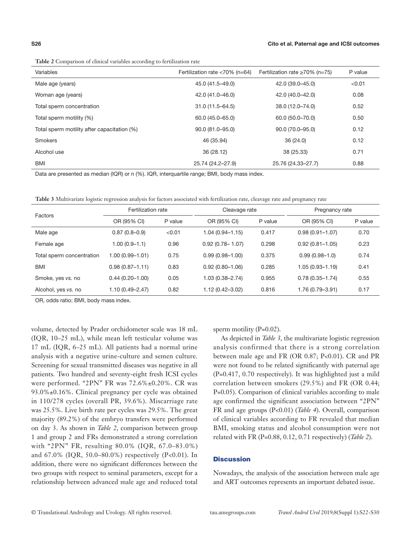| Variables                                   | Fertilization rate $<$ 70% (n=64) | Fertilization rate $\geq 70\%$ (n=75) | P value |
|---------------------------------------------|-----------------------------------|---------------------------------------|---------|
| Male age (years)                            | 45.0 (41.5-49.0)                  | 42.0 (39.0-45.0)                      | < 0.01  |
| Woman age (years)                           | 42.0 (41.0-46.0)                  | 42.0 (40.0-42.0)                      | 0.08    |
| Total sperm concentration                   | $31.0(11.5 - 64.5)$               | 38.0 (12.0-74.0)                      | 0.52    |
| Total sperm motility (%)                    | 60.0 (45.0-65.0)                  | 60.0 (50.0-70.0)                      | 0.50    |
| Total sperm motility after capacitation (%) | 90.0 (81.0-95.0)                  | 90.0 (70.0-95.0)                      | 0.12    |
| <b>Smokers</b>                              | 46 (35.94)                        | 36(24.0)                              | 0.12    |
| Alcohol use                                 | 36 (28.12)                        | 38 (25.33)                            | 0.71    |
| BMI                                         | 25.74 (24.2-27.9)                 | 25.76 (24.33-27.7)                    | 0.88    |

Data are presented as median (IQR) or n (%). IQR, interquartile range; BMI, body mass index.

**Table 3** Multivariate logistic regression analysis for factors associated with fertilization rate, cleavage rate and pregnancy rate

| Factors                   | Fertilization rate  |         | Cleavage rate       |         | Pregnancy rate      |         |
|---------------------------|---------------------|---------|---------------------|---------|---------------------|---------|
|                           | OR (95% CI)         | P value | OR (95% CI)         | P value | OR (95% CI)         | P value |
| Male age                  | $0.87(0.8 - 0.9)$   | < 0.01  | $1.04(0.94 - 1.15)$ | 0.417   | $0.98(0.91 - 1.07)$ | 0.70    |
| Female age                | 1.00 (0.9–1.1)      | 0.96    | $0.92(0.78 - 1.07)$ | 0.298   | $0.92(0.81 - 1.05)$ | 0.23    |
| Total sperm concentration | $1.00(0.99 - 1.01)$ | 0.75    | $0.99(0.98 - 1.00)$ | 0.375   | $0.99(0.98 - 1.0)$  | 0.74    |
| <b>BMI</b>                | $0.98(0.87 - 1.11)$ | 0.83    | $0.92(0.80 - 1.06)$ | 0.285   | $1.05(0.93 - 1.19)$ | 0.41    |
| Smoke, yes vs. no         | $0.44(0.20 - 1.00)$ | 0.05    | $1.03(0.38 - 2.74)$ | 0.955   | $0.78(0.35 - 1.74)$ | 0.55    |
| Alcohol, yes vs. no       | $1.10(0.49 - 2.47)$ | 0.82    | $1.12(0.42 - 3.02)$ | 0.816   | 1.76 (0.79-3.91)    | 0.17    |

OR, odds ratio; BMI, body mass index.

volume, detected by Prader orchidometer scale was 18 mL (IQR, 10–25 mL), while mean left testicular volume was 17 mL (IQR, 6–25 mL). All patients had a normal urine analysis with a negative urine-culture and semen culture. Screening for sexual transmitted diseases was negative in all patients. Two hundred and seventy-eight fresh ICSI cycles were performed. "2PN" FR was 72.6%±0.20%. CR was 93.0%±0.16%. Clinical pregnancy per cycle was obtained in 110/278 cycles (overall PR, 39.6%). Miscarriage rate was 25.5%. Live birth rate per cycles was 29.5%. The great majority (89.2%) of the embryo transfers were performed on day 3. As shown in *Table 2*, comparison between group 1 and group 2 and FRs demonstrated a strong correlation with "2PN" FR, resulting 80.0% (IQR, 67.0–83.0%) and 67.0% (IQR, 50.0–80.0%) respectively (P<0.01). In addition, there were no significant differences between the two groups with respect to seminal parameters, except for a relationship between advanced male age and reduced total

sperm motility (P=0.02).

As depicted in *Table 3*, the multivariate logistic regression analysis confirmed that there is a strong correlation between male age and FR (OR 0.87; P<0.01). CR and PR were not found to be related significantly with paternal age (P=0.417, 0.70 respectively). It was highlighted just a mild correlation between smokers (29.5%) and FR (OR 0.44; P=0.05). Comparison of clinical variables according to male age confirmed the significant association between "2PN" FR and age groups (P<0.01) (*Table 4*). Overall, comparison of clinical variables according to FR revealed that median BMI, smoking status and alcohol consumption were not related with FR (P=0.88, 0.12, 0.71 respectively) (*Table 2*).

### **Discussion**

Nowadays, the analysis of the association between male age and ART outcomes represents an important debated issue.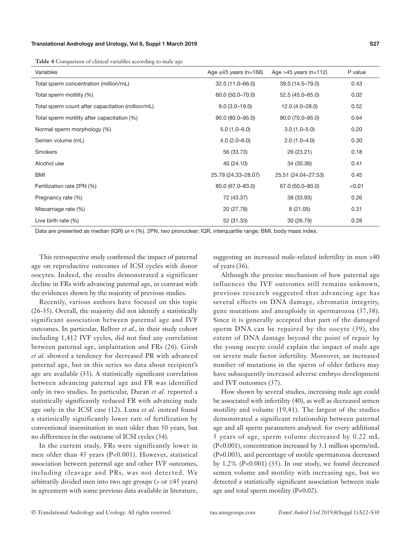#### Translational Andrology and Urology, Vol 8, Suppl 1 March 2019

**Table 4** Comparison of clinical variables according to male age

| Variables                                         | Age $\leq$ 45 years (n=166) | Age $>45$ years (n=112) | P value |
|---------------------------------------------------|-----------------------------|-------------------------|---------|
| Total sperm concentration (million/mL)            | 32.0 (11.0-66.0)            | 39.0 (14.5-79.0)        | 0.43    |
| Total sperm motility (%)                          | 60.0 (50.0-70.0)            | 52.5 (45.0-65.0)        | 0.02    |
| Total sperm count after capacitation (million/mL) | $9.0(3.0-19.0)$             | 12.0 (4.0-28.0)         | 0.52    |
| Total sperm motility after capacitation (%)       | $90.0 (80.0 - 95.0)$        | 90.0 (70.0-95.0)        | 0.64    |
| Normal sperm morphology (%)                       | $5.0(1.0 - 6.0)$            | $3.0(1.0 - 5.0)$        | 0.20    |
| Semen volume (mL)                                 | $4.0(2.0 - 6.0)$            | $2.0(1.0-4.0)$          | 0.30    |
| Smokers                                           | 56 (33.73)                  | 26 (23.21)              | 0.18    |
| Alcohol use                                       | 40 (24.10)                  | 34 (30.36)              | 0.41    |
| <b>BMI</b>                                        | 25.79 (24.33-28.07)         | 25.51 (24.04-27.53)     | 0.45    |
| Fertilization rate 2PN (%)                        | 80.0 (67.0-83.0)            | 67.0 (50.0-80.0)        | < 0.01  |
| Pregnancy rate (%)                                | 72 (43.37)                  | 38 (33.93)              | 0.26    |
| Miscarriage rate (%)                              | 20 (27.78)                  | 8(21.05)                | 0.31    |
| Live birth rate (%)                               | 52 (31.33)                  | 30 (26.79)              | 0.28    |

Data are presented as median (IQR) or n (%). 2PN, two pronuclear; IQR, interquartile range; BMI, body mass index.

This retrospective study confirmed the impact of paternal age on reproductive outcomes of ICSI cycles with donor oocytes. Indeed, the results demonstrated a significant decline in FRs with advancing paternal age, in contrast with the evidences shown by the majority of previous studies.

Recently, various authors have focused on this topic (26-35). Overall, the majority did not identify a statistically significant association between paternal age and IVF outcomes. In particular, Bellver *et al.*, in their study cohort including 1,412 IVF cycles, did not find any correlation between paternal age, implantation and FRs (26). Girsh *et al.* showed a tendency for decreased PR with advanced paternal age, but in this series no data about recipient's age are available (33). A statistically significant correlation between advancing paternal age and FR was identified only in two studies. In particular, Duran *et al.* reported a statistically significantly reduced FR with advancing male age only in the ICSI case (12). Luna *et al.* instead found a statistically significantly lower rate of fertilization by conventional insemination in men older than 50 years, but no differences in the outcome of ICSI cycles (34).

In the current study, FRs were significantly lower in men older than 45 years (P<0.001). However, statistical association between paternal age and other IVF outcomes, including cleavage and PRs, was not detected. We arbitrarily divided men into two age groups ( $>$  or  $\leq$ 45 years) in agreement with some previous data available in literature, suggesting an increased male-related infertility in men >40 of years (36).

Although the precise mechanism of how paternal age influences the IVF outcomes still remains unknown, previous research suggested that advancing age has several effects on DNA damage, chromatin integrity, gene mutations and aneuploidy in spermatozoa (37,38). Since it is generally accepted that part of the damaged sperm DNA can be repaired by the oocyte (39), the extent of DNA damage beyond the point of repair by the young oocyte could explain the impact of male age on severe male factor infertility. Moreover, an increased number of mutations in the sperm of older fathers may have subsequently increased adverse embryo development and IVF outcomes (37).

How shown by several studies, increasing male age could be associated with infertility (40), as well as decreased semen motility and volume (19,41). The largest of the studies demonstrated a significant relationship between paternal age and all sperm parameters analysed: for every additional 5 years of age, sperm volume decreased by 0.22 mL (P<0.001), concentration increased by 3.1 million sperm/mL (P=0.003), and percentage of motile spermatozoa decreased by  $1.2\%$  (P<0.001) (35). In our study, we found decreased semen volume and motility with increasing age, but we detected a statistically significant association between male age and total sperm motility (P=0.02).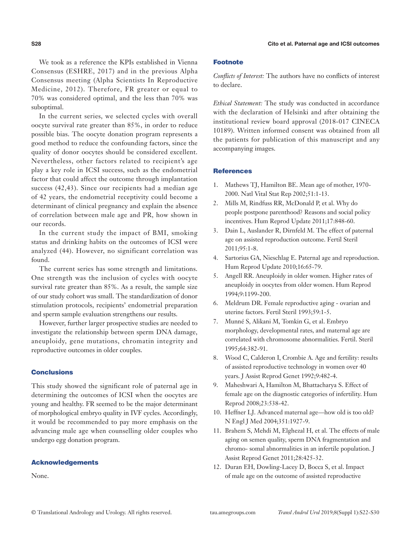We took as a reference the KPIs established in Vienna Consensus (ESHRE, 2017) and in the previous Alpha Consensus meeting (Alpha Scientists In Reproductive Medicine, 2012). Therefore, FR greater or equal to 70% was considered optimal, and the less than 70% was suboptimal.

In the current series, we selected cycles with overall oocyte survival rate greater than 85%, in order to reduce possible bias. The oocyte donation program represents a good method to reduce the confounding factors, since the quality of donor oocytes should be considered excellent. Nevertheless, other factors related to recipient's age play a key role in ICSI success, such as the endometrial factor that could affect the outcome through implantation success (42,43). Since our recipients had a median age of 42 years, the endometrial receptivity could become a determinant of clinical pregnancy and explain the absence of correlation between male age and PR, how shown in our records.

In the current study the impact of BMI, smoking status and drinking habits on the outcomes of ICSI were analyzed (44). However, no significant correlation was found.

The current series has some strength and limitations. One strength was the inclusion of cycles with oocyte survival rate greater than 85%. As a result, the sample size of our study cohort was small. The standardization of donor stimulation protocols, recipients' endometrial preparation and sperm sample evaluation strengthens our results.

However, further larger prospective studies are needed to investigate the relationship between sperm DNA damage, aneuploidy, gene mutations, chromatin integrity and reproductive outcomes in older couples.

## **Conclusions**

This study showed the significant role of paternal age in determining the outcomes of ICSI when the oocytes are young and healthy. FR seemed to be the major determinant of morphological embryo quality in IVF cycles. Accordingly, it would be recommended to pay more emphasis on the advancing male age when counselling older couples who undergo egg donation program.

### Acknowledgements

None.

# Footnote

*Conflicts of Interest:* The authors have no conflicts of interest to declare.

*Ethical Statement:* The study was conducted in accordance with the declaration of Helsinki and after obtaining the institutional review board approval (2018-017 CINECA 10189). Written informed consent was obtained from all the patients for publication of this manuscript and any accompanying images.

### **References**

- 1. Mathews TJ, Hamilton BE. Mean age of mother, 1970- 2000. Natl Vital Stat Rep 2002;51:1-13.
- 2. Mills M, Rindfuss RR, McDonald P, et al. Why do people postpone parenthood? Reasons and social policy incentives. Hum Reprod Update 2011;17:848-60.
- 3. Dain L, Auslander R, Dirnfeld M. The effect of paternal age on assisted reproduction outcome. Fertil Steril 2011;95:1-8.
- 4. Sartorius GA, Nieschlag E. Paternal age and reproduction. Hum Reprod Update 2010;16:65-79.
- 5. Angell RR. Aneuploidy in older women. Higher rates of aneuploidy in oocytes from older women. Hum Reprod 1994;9:1199-200.
- 6. Meldrum DR. Female reproductive aging ovarian and uterine factors. Fertil Steril 1993;59:1-5.
- 7. Munné S, Alikani M, Tomkin G, et al. Embryo morphology, developmental rates, and maternal age are correlated with chromosome abnormalities. Fertil. Steril 1995;64:382-91.
- 8. Wood C, Calderon I, Crombie A. Age and fertility: results of assisted reproductive technology in women over 40 years. J Assist Reprod Genet 1992;9:482-4.
- 9. Maheshwari A, Hamilton M, Bhattacharya S. Effect of female age on the diagnostic categories of infertility. Hum Reprod 2008;23:538-42.
- 10. Heffner LJ. Advanced maternal age—how old is too old? N Engl J Med 2004;351:1927-9.
- 11. Brahem S, Mehdi M, Elghezal H, et al. The effects of male aging on semen quality, sperm DNA fragmentation and chromo- somal abnormalities in an infertile population. J Assist Reprod Genet 2011;28:425-32.
- 12. Duran EH, Dowling-Lacey D, Bocca S, et al. Impact of male age on the outcome of assisted reproductive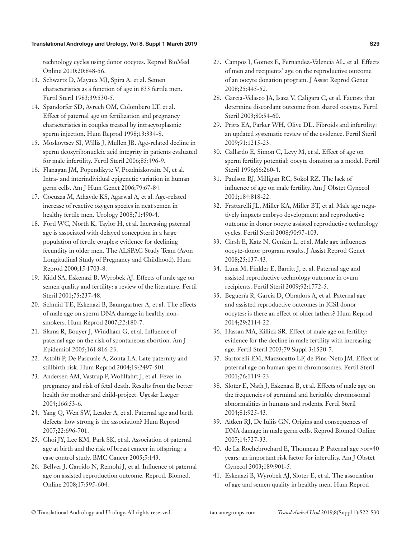#### Translational Andrology and Urology, Vol 8, Suppl 1 March 2019

technology cycles using donor oocytes. Reprod BioMed Online 2010;20:848-56.

- 13. Schwartz D, Mayaux MJ, Spira A, et al. Semen characteristics as a function of age in 833 fertile men. Fertil Steril 1983;39:530-5.
- 14. Spandorfer SD, Avrech OM, Colombero LT, et al. Effect of paternal age on fertilization and pregnancy characteristics in couples treated by intracytoplasmic sperm injection. Hum Reprod 1998;13:334-8.
- 15. Moskovtsev SI, Willis J, Mullen JB. Age-related decline in sperm deoxyribonucleic acid integrity in patients evaluated for male infertility. Fertil Steril 2006;85:496-9.
- 16. Flanagan JM, Popendikyte V, Pozdniakovaite N, et al. Intra- and interindividual epigenetic variation in human germ cells. Am J Hum Genet 2006;79:67-84.
- 17. Cocuzza M, Athayde KS, Agarwal A, et al. Age-related increase of reactive oxygen species in neat semen in healthy fertile men. Urology 2008;71:490-4.
- 18. Ford WC, North K, Taylor H, et al. Increasing paternal age is associated with delayed conception in a large population of fertile couples: evidence for declining fecundity in older men. The ALSPAC Study Team (Avon Longitudinal Study of Pregnancy and Childhood). Hum Reprod 2000;15:1703-8.
- 19. Kidd SA, Eskenazi B, Wyrobek AJ. Effects of male age on semen quality and fertility: a review of the literature. Fertil Steril 2001;75:237-48.
- 20. Schmid TE, Eskenazi B, Baumgartner A, et al. The effects of male age on sperm DNA damage in healthy nonsmokers. Hum Reprod 2007;22:180-7.
- 21. Slama R, Bouyer J, Windham G, et al. Influence of paternal age on the risk of spontaneous abortion. Am J Epidemiol 2005;161:816-23.
- 22. Astolfi P, De Pasquale A, Zonta LA. Late paternity and stillbirth risk. Hum Reprod 2004;19:2497-501.
- 23. Andersen AM, Vastrup P, Wohlfahrt J, et al. Fever in pregnancy and risk of fetal death. Results from the better health for mother and child-project. Ugeskr Laeger 2004;166:53-6.
- 24. Yang Q, Wen SW, Leader A, et al. Paternal age and birth defects: how strong is the association? Hum Reprod 2007;22:696-701.
- 25. Choi JY, Lee KM, Park SK, et al. Association of paternal age at birth and the risk of breast cancer in offspring: a case control study. BMC Cancer 2005;5:143.
- 26. Bellver J, Garrido N, Remohi J, et al. Influence of paternal age on assisted reproduction outcome. Reprod. Biomed. Online 2008;17:595-604.
- 27. Campos I, Gomez E, Fernandez-Valencia AL, et al. Effects of men and recipients' age on the reproductive outcome of an oocyte donation program. J Assist Reprod Genet 2008;25:445-52.
- 28. Garcia-Velasco JA, Isaza V, Caligara C, et al. Factors that determine discordant outcome from shared oocytes. Fertil Steril 2003;80:54-60.
- 29. Pritts EA, Parker WH, Olive DL. Fibroids and infertility: an updated systematic review of the evidence. Fertil Steril 2009;91:1215-23.
- 30. Gallardo E, Simon C, Levy M, et al. Effect of age on sperm fertility potential: oocyte donation as a model. Fertil Steril 1996;66:260-4.
- 31. Paulson RJ, Milligan RC, Sokol RZ. The lack of influence of age on male fertility. Am J Obstet Gynecol 2001;184:818-22.
- 32. Frattarelli JL, Miller KA, Miller BT, et al. Male age negatively impacts embryo development and reproductive outcome in donor oocyte assisted reproductive technology cycles. Fertil Steril 2008;90:97-103.
- 33. Girsh E, Katz N, Genkin L, et al. Male age influences oocyte-donor program results. J Assist Reprod Genet 2008;25:137-43.
- 34. Luna M, Finkler E, Barritt J, et al. Paternal age and assisted reproductive technology outcome in ovum recipients. Fertil Steril 2009;92:1772-5.
- 35. Beguería R, Garcia D, Obradors A, et al. Paternal age and assisted reproductive outcomes in ICSI donor oocytes: is there an effect of older fathers? Hum Reprod 2014;29:2114-22.
- 36. Hassan MA, Killick SR. Effect of male age on fertility: evidence for the decline in male fertility with increasing age. Fertil Steril 2003;79 Suppl 3:1520-7.
- 37. Sartorelli EM, Mazzucatto LF, de Pina-Neto JM. Effect of paternal age on human sperm chromosomes. Fertil Steril 2001;76:1119-23.
- 38. Sloter E, Nath J, Eskenazi B, et al. Effects of male age on the frequencies of germinal and heritable chromosomal abnormalities in humans and rodents. Fertil Steril 2004;81:925-43.
- 39. Aitken RJ, De Iuliis GN. Origins and consequences of DNA damage in male germ cells. Reprod Biomed Online 2007;14:727-33.
- 40. de La Rochebrochard E, Thonneau P. Paternal age >or=40 years: an important risk factor for infertility. Am J Obstet Gynecol 2003;189:901-5.
- 41. Eskenazi B, Wyrobek AJ, Sloter E, et al. The association of age and semen quality in healthy men. Hum Reprod